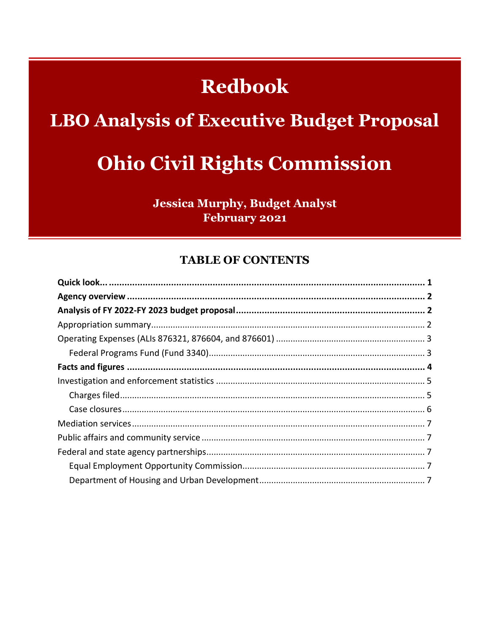# **Redbook**

# **LBO Analysis of Executive Budget Proposal**

# **Ohio Civil Rights Commission**

**Jessica Murphy, Budget Analyst** February 2021

#### **TABLE OF CONTENTS**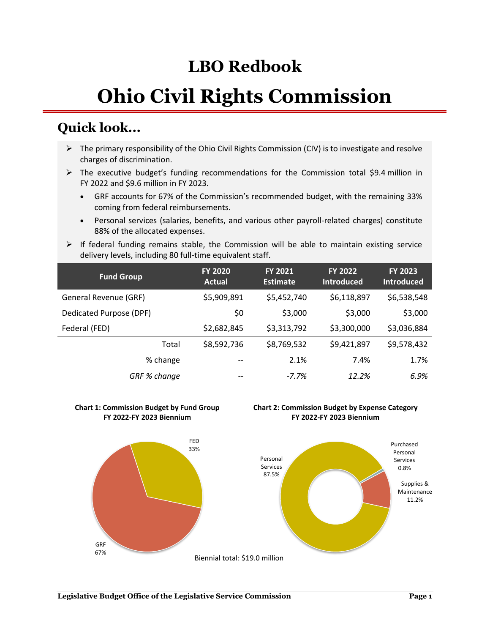# **LBO Redbook**

# **Ohio Civil Rights Commission**

## **Quick look...**

- $\triangleright$  The primary responsibility of the Ohio Civil Rights Commission (CIV) is to investigate and resolve charges of discrimination.
- $\triangleright$  The executive budget's funding recommendations for the Commission total \$9.4 million in FY 2022 and \$9.6 million in FY 2023.
	- GRF accounts for 67% of the Commission's recommended budget, with the remaining 33% coming from federal reimbursements.
	- Personal services (salaries, benefits, and various other payroll-related charges) constitute 88% of the allocated expenses.
- $\triangleright$  If federal funding remains stable, the Commission will be able to maintain existing service delivery levels, including 80 full-time equivalent staff.

| <b>Fund Group</b>       | <b>FY 2020</b><br>Actual | <b>FY 2021</b><br><b>Estimate</b> | <b>FY 2022</b><br><b>Introduced</b> | <b>FY 2023</b><br><b>Introduced</b> |
|-------------------------|--------------------------|-----------------------------------|-------------------------------------|-------------------------------------|
| General Revenue (GRF)   | \$5,909,891              | \$5,452,740                       | \$6,118,897                         | \$6,538,548                         |
| Dedicated Purpose (DPF) | \$0                      | \$3,000                           | \$3,000                             | \$3,000                             |
| Federal (FED)           | \$2,682,845              | \$3,313,792                       | \$3,300,000                         | \$3,036,884                         |
| Total                   | \$8,592,736              | \$8,769,532                       | \$9,421,897                         | \$9,578,432                         |
| % change                | --                       | 2.1%                              | 7.4%                                | 1.7%                                |
| GRF % change            | --                       | $-7.7%$                           | 12.2%                               | 6.9%                                |

#### **Chart 1: Commission Budget by Fund Group FY 2022-FY 2023 Biennium**



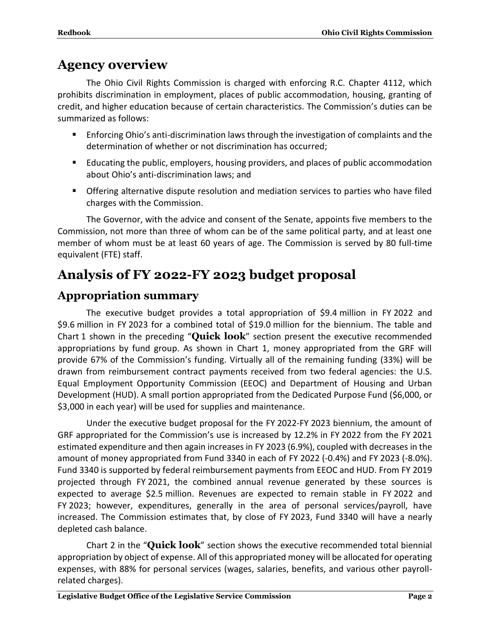## **Agency overview**

The Ohio Civil Rights Commission is charged with enforcing R.C. Chapter 4112, which prohibits discrimination in employment, places of public accommodation, housing, granting of credit, and higher education because of certain characteristics. The Commission's duties can be summarized as follows:

- Enforcing Ohio's anti-discrimination laws through the investigation of complaints and the determination of whether or not discrimination has occurred;
- Educating the public, employers, housing providers, and places of public accommodation about Ohio's anti-discrimination laws; and
- **•** Offering alternative dispute resolution and mediation services to parties who have filed charges with the Commission.

The Governor, with the advice and consent of the Senate, appoints five members to the Commission, not more than three of whom can be of the same political party, and at least one member of whom must be at least 60 years of age. The Commission is served by 80 full-time equivalent (FTE) staff.

## **Analysis of FY 2022-FY 2023 budget proposal**

## **Appropriation summary**

The executive budget provides a total appropriation of \$9.4 million in FY 2022 and \$9.6 million in FY 2023 for a combined total of \$19.0 million for the biennium. The table and Chart 1 shown in the preceding "**Quick look**" section present the executive recommended appropriations by fund group. As shown in Chart 1, money appropriated from the GRF will provide 67% of the Commission's funding. Virtually all of the remaining funding (33%) will be drawn from reimbursement contract payments received from two federal agencies: the U.S. Equal Employment Opportunity Commission (EEOC) and Department of Housing and Urban Development (HUD). A small portion appropriated from the Dedicated Purpose Fund (\$6,000, or \$3,000 in each year) will be used for supplies and maintenance.

Under the executive budget proposal for the FY 2022-FY 2023 biennium, the amount of GRF appropriated for the Commission's use is increased by 12.2% in FY 2022 from the FY 2021 estimated expenditure and then again increases in FY 2023 (6.9%), coupled with decreases in the amount of money appropriated from Fund 3340 in each of FY 2022 (-0.4%) and FY 2023 (-8.0%). Fund 3340 is supported by federal reimbursement payments from EEOC and HUD. From FY 2019 projected through FY 2021, the combined annual revenue generated by these sources is expected to average \$2.5 million. Revenues are expected to remain stable in FY 2022 and FY 2023; however, expenditures, generally in the area of personal services/payroll, have increased. The Commission estimates that, by close of FY 2023, Fund 3340 will have a nearly depleted cash balance.

Chart 2 in the "**Quick look**" section shows the executive recommended total biennial appropriation by object of expense. All of this appropriated money will be allocated for operating expenses, with 88% for personal services (wages, salaries, benefits, and various other payrollrelated charges).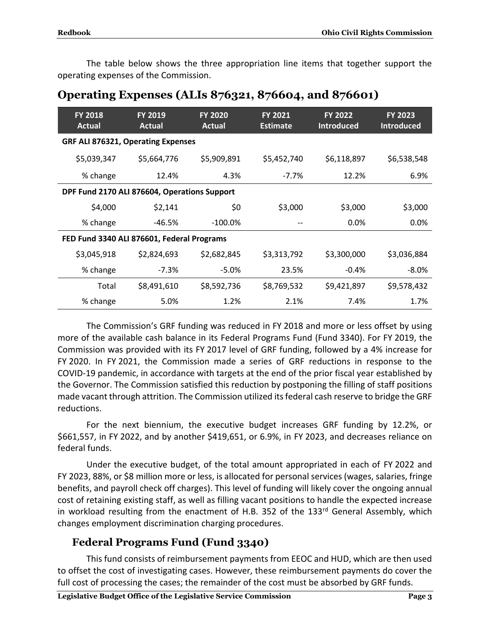The table below shows the three appropriation line items that together support the operating expenses of the Commission.

| <b>FY 2018</b><br>Actual                     | FY 2019<br><b>Actual</b> | <b>FY 2020</b><br><b>Actual</b> | FY 2021<br><b>Estimate</b> | <b>FY 2022</b><br><b>Introduced</b> | <b>FY 2023</b><br><b>Introduced</b> |
|----------------------------------------------|--------------------------|---------------------------------|----------------------------|-------------------------------------|-------------------------------------|
| <b>GRF ALI 876321, Operating Expenses</b>    |                          |                                 |                            |                                     |                                     |
| \$5,039,347                                  | \$5,664,776              | \$5,909,891                     | \$5,452,740                | \$6,118,897                         | \$6,538,548                         |
| % change                                     | 12.4%                    | 4.3%                            | $-7.7\%$                   | 12.2%                               | 6.9%                                |
| DPF Fund 2170 ALI 876604, Operations Support |                          |                                 |                            |                                     |                                     |
| \$4,000                                      | \$2,141                  | \$0                             | \$3,000                    | \$3,000                             | \$3,000                             |
| % change                                     | -46.5%                   | $-100.0\%$                      |                            | $0.0\%$                             | $0.0\%$                             |
| FED Fund 3340 ALI 876601, Federal Programs   |                          |                                 |                            |                                     |                                     |
| \$3,045,918                                  | \$2,824,693              | \$2,682,845                     | \$3,313,792                | \$3,300,000                         | \$3,036,884                         |
| % change                                     | -7.3%                    | $-5.0%$                         | 23.5%                      | $-0.4\%$                            | $-8.0\%$                            |
| Total                                        | \$8,491,610              | \$8,592,736                     | \$8,769,532                | \$9,421,897                         | \$9,578,432                         |
| % change                                     | 5.0%                     | 1.2%                            | 2.1%                       | 7.4%                                | 1.7%                                |

#### **Operating Expenses (ALIs 876321, 876604, and 876601)**

The Commission's GRF funding was reduced in FY 2018 and more or less offset by using more of the available cash balance in its Federal Programs Fund (Fund 3340). For FY 2019, the Commission was provided with its FY 2017 level of GRF funding, followed by a 4% increase for FY 2020. In FY 2021, the Commission made a series of GRF reductions in response to the COVID-19 pandemic, in accordance with targets at the end of the prior fiscal year established by the Governor. The Commission satisfied this reduction by postponing the filling of staff positions made vacant through attrition. The Commission utilized its federal cash reserve to bridge the GRF reductions.

For the next biennium, the executive budget increases GRF funding by 12.2%, or \$661,557, in FY 2022, and by another \$419,651, or 6.9%, in FY 2023, and decreases reliance on federal funds.

Under the executive budget, of the total amount appropriated in each of FY 2022 and FY 2023, 88%, or \$8 million more or less, is allocated for personal services (wages, salaries, fringe benefits, and payroll check off charges). This level of funding will likely cover the ongoing annual cost of retaining existing staff, as well as filling vacant positions to handle the expected increase in workload resulting from the enactment of H.B. 352 of the  $133<sup>rd</sup>$  General Assembly, which changes employment discrimination charging procedures.

#### **Federal Programs Fund (Fund 3340)**

This fund consists of reimbursement payments from EEOC and HUD, which are then used to offset the cost of investigating cases. However, these reimbursement payments do cover the full cost of processing the cases; the remainder of the cost must be absorbed by GRF funds.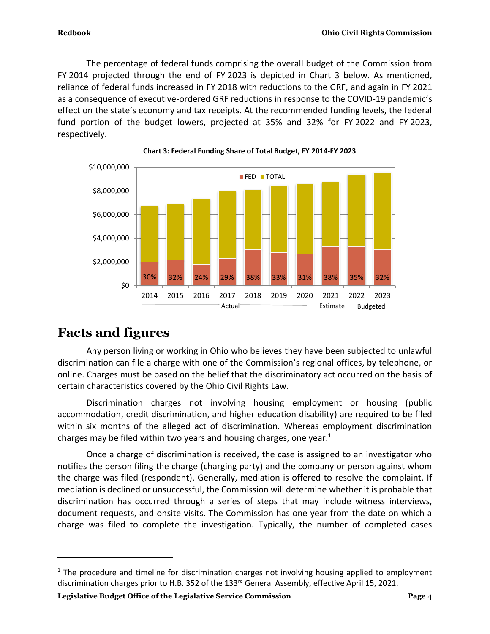The percentage of federal funds comprising the overall budget of the Commission from FY 2014 projected through the end of FY 2023 is depicted in Chart 3 below. As mentioned, reliance of federal funds increased in FY 2018 with reductions to the GRF, and again in FY 2021 as a consequence of executive-ordered GRF reductions in response to the COVID-19 pandemic's effect on the state's economy and tax receipts. At the recommended funding levels, the federal fund portion of the budget lowers, projected at 35% and 32% for FY 2022 and FY 2023, respectively.





## **Facts and figures**

 $\overline{a}$ 

Any person living or working in Ohio who believes they have been subjected to unlawful discrimination can file a charge with one of the Commission's regional offices, by telephone, or online. Charges must be based on the belief that the discriminatory act occurred on the basis of certain characteristics covered by the Ohio Civil Rights Law.

Discrimination charges not involving housing employment or housing (public accommodation, credit discrimination, and higher education disability) are required to be filed within six months of the alleged act of discrimination. Whereas employment discrimination charges may be filed within two years and housing charges, one year. $1$ 

Once a charge of discrimination is received, the case is assigned to an investigator who notifies the person filing the charge (charging party) and the company or person against whom the charge was filed (respondent). Generally, mediation is offered to resolve the complaint. If mediation is declined or unsuccessful, the Commission will determine whether it is probable that discrimination has occurred through a series of steps that may include witness interviews, document requests, and onsite visits. The Commission has one year from the date on which a charge was filed to complete the investigation. Typically, the number of completed cases

 $<sup>1</sup>$  The procedure and timeline for discrimination charges not involving housing applied to employment</sup> discrimination charges prior to H.B. 352 of the 133<sup>rd</sup> General Assembly, effective April 15, 2021.

**Legislative Budget Office of the Legislative Service Commission Page 4**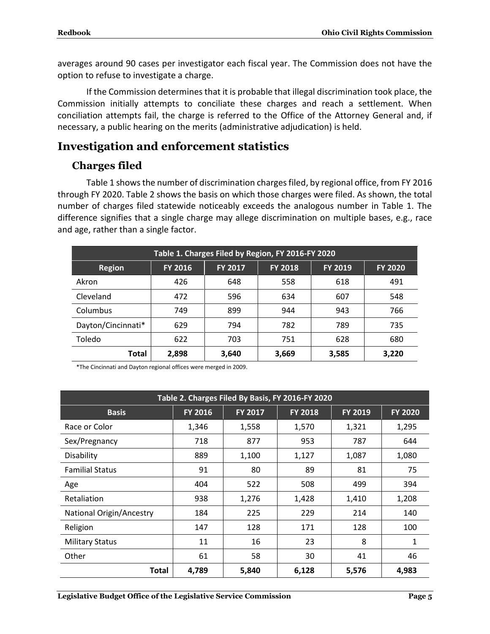averages around 90 cases per investigator each fiscal year. The Commission does not have the option to refuse to investigate a charge.

If the Commission determines that it is probable that illegal discrimination took place, the Commission initially attempts to conciliate these charges and reach a settlement. When conciliation attempts fail, the charge is referred to the Office of the Attorney General and, if necessary, a public hearing on the merits (administrative adjudication) is held.

#### **Investigation and enforcement statistics**

#### **Charges filed**

Table 1 shows the number of discrimination charges filed, by regional office, from FY 2016 through FY 2020. Table 2 shows the basis on which those charges were filed. As shown, the total number of charges filed statewide noticeably exceeds the analogous number in Table 1. The difference signifies that a single charge may allege discrimination on multiple bases, e.g., race and age, rather than a single factor.

| Table 1. Charges Filed by Region, FY 2016-FY 2020  |                |                |                |         |                |  |
|----------------------------------------------------|----------------|----------------|----------------|---------|----------------|--|
| <b>Region</b>                                      | <b>FY 2016</b> | <b>FY 2017</b> | <b>FY 2018</b> | FY 2019 | <b>FY 2020</b> |  |
| Akron                                              | 426            | 648            | 558            | 618     | 491            |  |
| Cleveland                                          | 472            | 596            | 634            | 607     | 548            |  |
| Columbus                                           | 749            | 899            | 944            | 943     | 766            |  |
| Dayton/Cincinnati*                                 | 629            | 794            | 782            | 789     | 735            |  |
| Toledo                                             | 622            | 703            | 751            | 628     | 680            |  |
| 2,898<br>3,640<br>3,669<br>Total<br>3,585<br>3,220 |                |                |                |         |                |  |

\*The Cincinnati and Dayton regional offices were merged in 2009.

| Table 2. Charges Filed By Basis, FY 2016-FY 2020          |         |                |                |                |                |  |
|-----------------------------------------------------------|---------|----------------|----------------|----------------|----------------|--|
| <b>Basis</b>                                              | FY 2016 | <b>FY 2017</b> | <b>FY 2018</b> | <b>FY 2019</b> | <b>FY 2020</b> |  |
| Race or Color                                             | 1,346   | 1,558          | 1,570          | 1,321          | 1,295          |  |
| Sex/Pregnancy                                             | 718     | 877            | 953            | 787            | 644            |  |
| Disability                                                | 889     | 1,100          | 1,127          | 1,087          | 1,080          |  |
| <b>Familial Status</b>                                    | 91      | 80             | 89             | 81             | 75             |  |
| Age                                                       | 404     | 522            | 508            | 499            | 394            |  |
| Retaliation                                               | 938     | 1,276          | 1,428          | 1,410          | 1,208          |  |
| <b>National Origin/Ancestry</b>                           | 184     | 225            | 229            | 214            | 140            |  |
| Religion                                                  | 147     | 128            | 171            | 128            | 100            |  |
| <b>Military Status</b>                                    | 11      | 16             | 23             | 8              | 1              |  |
| Other                                                     | 61      | 58             | 30             | 41             | 46             |  |
| 4,789<br>5,840<br>4,983<br><b>Total</b><br>6,128<br>5,576 |         |                |                |                |                |  |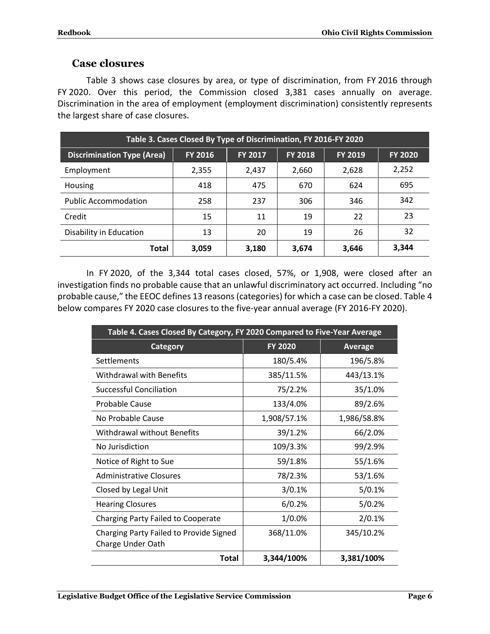#### **Case closures**

Table 3 shows case closures by area, or type of discrimination, from FY 2016 through FY 2020. Over this period, the Commission closed 3,381 cases annually on average. Discrimination in the area of employment (employment discrimination) consistently represents the largest share of case closures.

| Table 3. Cases Closed By Type of Discrimination, FY 2016-FY 2020 |                |                |                |         |                |
|------------------------------------------------------------------|----------------|----------------|----------------|---------|----------------|
| <b>Discrimination Type (Area)</b>                                | <b>FY 2016</b> | <b>FY 2017</b> | <b>FY 2018</b> | FY 2019 | <b>FY 2020</b> |
| Employment                                                       | 2,355          | 2,437          | 2,660          | 2,628   | 2,252          |
| Housing                                                          | 418            | 475            | 670            | 624     | 695            |
| <b>Public Accommodation</b>                                      | 258            | 237            | 306            | 346     | 342            |
| Credit                                                           | 15             | 11             | 19             | 22      | 23             |
| Disability in Education                                          | 13             | 20             | 19             | 26      | 32             |
| <b>Total</b>                                                     | 3,059          | 3,180          | 3,674          | 3,646   | 3,344          |

In FY 2020, of the 3,344 total cases closed, 57%, or 1,908, were closed after an investigation finds no probable cause that an unlawful discriminatory act occurred. Including "no probable cause," the EEOC defines 13 reasons(categories) for which a case can be closed. Table 4 below compares FY 2020 case closures to the five-year annual average (FY 2016-FY 2020).

| Table 4. Cases Closed By Category, FY 2020 Compared to Five-Year Average |                |                |  |
|--------------------------------------------------------------------------|----------------|----------------|--|
| <b>Category</b>                                                          | <b>FY 2020</b> | <b>Average</b> |  |
| Settlements                                                              | 180/5.4%       | 196/5.8%       |  |
| Withdrawal with Benefits                                                 | 385/11.5%      | 443/13.1%      |  |
| <b>Successful Conciliation</b>                                           | 75/2.2%        | 35/1.0%        |  |
| <b>Probable Cause</b>                                                    | 133/4.0%       | 89/2.6%        |  |
| No Probable Cause                                                        | 1,908/57.1%    | 1,986/58.8%    |  |
| Withdrawal without Benefits                                              | 39/1.2%        | 66/2.0%        |  |
| No Jurisdiction                                                          | 109/3.3%       | 99/2.9%        |  |
| Notice of Right to Sue                                                   | 59/1.8%        | 55/1.6%        |  |
| <b>Administrative Closures</b>                                           | 78/2.3%        | 53/1.6%        |  |
| Closed by Legal Unit                                                     | 3/0.1%         | 5/0.1%         |  |
| <b>Hearing Closures</b>                                                  | 6/0.2%         | 5/0.2%         |  |
| <b>Charging Party Failed to Cooperate</b>                                | 1/0.0%         | 2/0.1%         |  |
| Charging Party Failed to Provide Signed<br>Charge Under Oath             | 368/11.0%      | 345/10.2%      |  |
| Total                                                                    | 3,344/100%     | 3,381/100%     |  |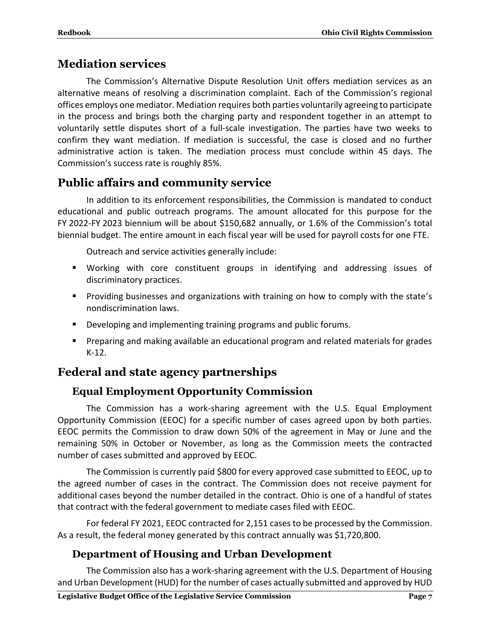#### **Mediation services**

The Commission's Alternative Dispute Resolution Unit offers mediation services as an alternative means of resolving a discrimination complaint. Each of the Commission's regional offices employs one mediator. Mediation requires both parties voluntarily agreeing to participate in the process and brings both the charging party and respondent together in an attempt to voluntarily settle disputes short of a full-scale investigation. The parties have two weeks to confirm they want mediation. If mediation is successful, the case is closed and no further administrative action is taken. The mediation process must conclude within 45 days. The Commission's success rate is roughly 85%.

#### **Public affairs and community service**

In addition to its enforcement responsibilities, the Commission is mandated to conduct educational and public outreach programs. The amount allocated for this purpose for the FY 2022-FY 2023 biennium will be about \$150,682 annually, or 1.6% of the Commission's total biennial budget. The entire amount in each fiscal year will be used for payroll costs for one FTE.

Outreach and service activities generally include:

- Working with core constituent groups in identifying and addressing issues of discriminatory practices.
- **Providing businesses and organizations with training on how to comply with the state's** nondiscrimination laws.
- Developing and implementing training programs and public forums.
- **Preparing and making available an educational program and related materials for grades** K-12.

### **Federal and state agency partnerships**

#### **Equal Employment Opportunity Commission**

The Commission has a work-sharing agreement with the U.S. Equal Employment Opportunity Commission (EEOC) for a specific number of cases agreed upon by both parties. EEOC permits the Commission to draw down 50% of the agreement in May or June and the remaining 50% in October or November, as long as the Commission meets the contracted number of cases submitted and approved by EEOC.

The Commission is currently paid \$800 for every approved case submitted to EEOC, up to the agreed number of cases in the contract. The Commission does not receive payment for additional cases beyond the number detailed in the contract. Ohio is one of a handful of states that contract with the federal government to mediate cases filed with EEOC.

For federal FY 2021, EEOC contracted for 2,151 cases to be processed by the Commission. As a result, the federal money generated by this contract annually was \$1,720,800.

#### **Department of Housing and Urban Development**

The Commission also has a work-sharing agreement with the U.S. Department of Housing and Urban Development (HUD) for the number of cases actually submitted and approved by HUD